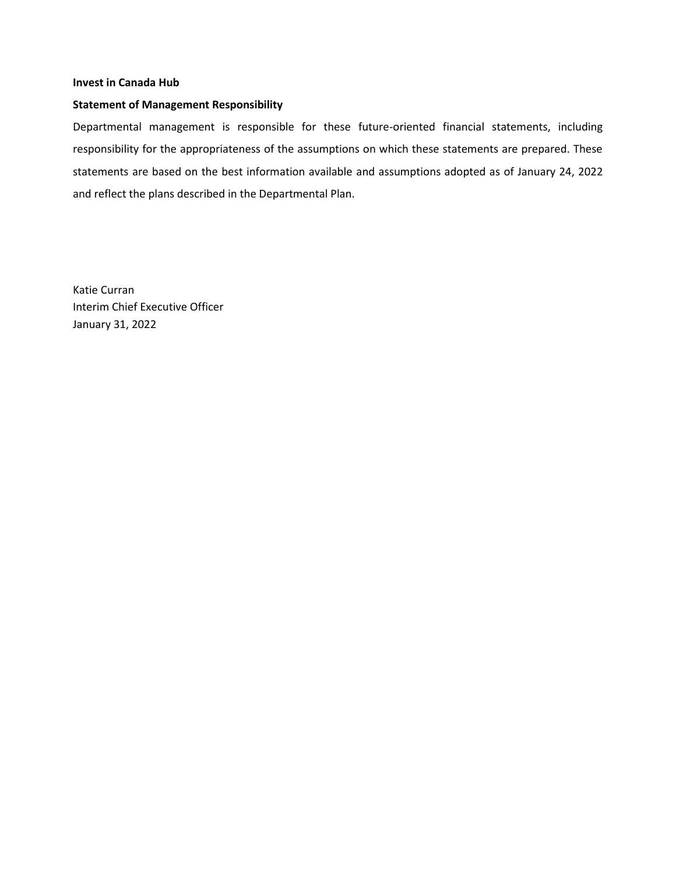#### **Invest in Canada Hub**

#### **Statement of Management Responsibility**

Departmental management is responsible for these future-oriented financial statements, including responsibility for the appropriateness of the assumptions on which these statements are prepared. These statements are based on the best information available and assumptions adopted as of January 24, 2022 and reflect the plans described in the Departmental Plan.

Katie Curran Interim Chief Executive Officer January 31, 2022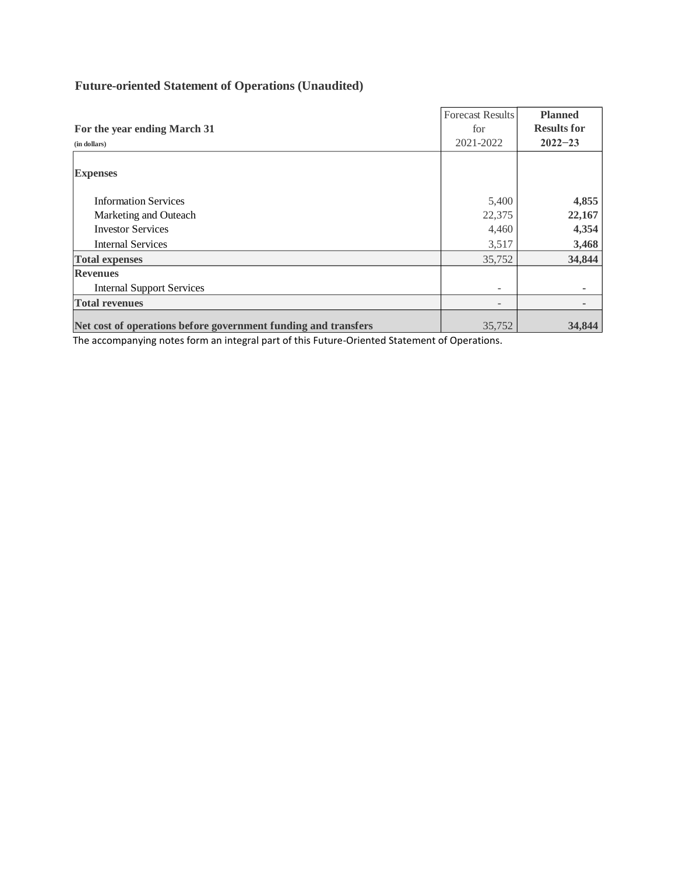# **Future-oriented Statement of Operations (Unaudited)**

|                                                                | <b>Forecast Results</b>  | <b>Planned</b>     |
|----------------------------------------------------------------|--------------------------|--------------------|
| For the year ending March 31                                   | for                      | <b>Results for</b> |
| (in dollars)                                                   | 2021-2022                | $2022 - 23$        |
|                                                                |                          |                    |
| <b>Expenses</b>                                                |                          |                    |
| <b>Information Services</b>                                    | 5,400                    | 4,855              |
|                                                                |                          |                    |
| Marketing and Outeach                                          | 22,375                   | 22,167             |
| <b>Investor Services</b>                                       | 4,460                    | 4,354              |
| <b>Internal Services</b>                                       | 3,517                    | 3,468              |
| <b>Total expenses</b>                                          | 35,752                   | 34,844             |
| <b>Revenues</b>                                                |                          |                    |
| <b>Internal Support Services</b>                               | $\overline{\phantom{a}}$ |                    |
| <b>Total revenues</b>                                          | $\overline{\phantom{a}}$ |                    |
| Net cost of operations before government funding and transfers | 35,752                   | 34,844             |

The accompanying notes form an integral part of this Future-Oriented Statement of Operations.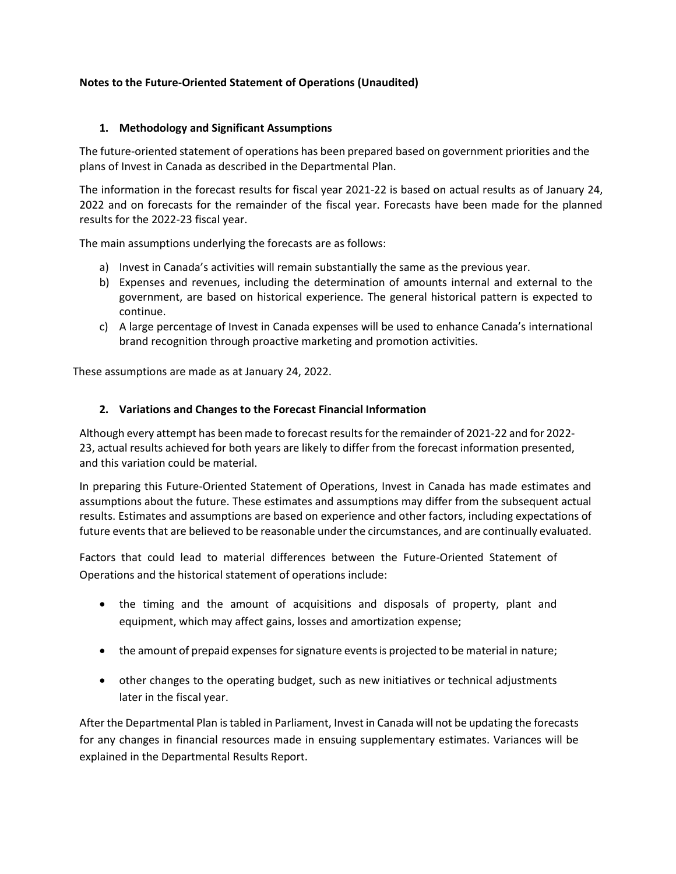# **Notes to the Future-Oriented Statement of Operations (Unaudited)**

## **1. Methodology and Significant Assumptions**

The future-oriented statement of operations has been prepared based on government priorities and the plans of Invest in Canada as described in the Departmental Plan.

The information in the forecast results for fiscal year 2021-22 is based on actual results as of January 24, 2022 and on forecasts for the remainder of the fiscal year. Forecasts have been made for the planned results for the 2022-23 fiscal year.

The main assumptions underlying the forecasts are as follows:

- a) Invest in Canada's activities will remain substantially the same as the previous year.
- b) Expenses and revenues, including the determination of amounts internal and external to the government, are based on historical experience. The general historical pattern is expected to continue.
- c) A large percentage of Invest in Canada expenses will be used to enhance Canada's international brand recognition through proactive marketing and promotion activities.

These assumptions are made as at January 24, 2022.

# **2. Variations and Changes to the Forecast Financial Information**

Although every attempt has been made to forecast resultsfor the remainder of 2021-22 and for 2022- 23, actual results achieved for both years are likely to differ from the forecast information presented, and this variation could be material.

In preparing this Future-Oriented Statement of Operations, Invest in Canada has made estimates and assumptions about the future. These estimates and assumptions may differ from the subsequent actual results. Estimates and assumptions are based on experience and other factors, including expectations of future events that are believed to be reasonable under the circumstances, and are continually evaluated.

Factors that could lead to material differences between the Future-Oriented Statement of Operations and the historical statement of operations include:

- the timing and the amount of acquisitions and disposals of property, plant and equipment, which may affect gains, losses and amortization expense;
- the amount of prepaid expenses for signature events is projected to be material in nature;
- other changes to the operating budget, such as new initiatives or technical adjustments later in the fiscal year.

After the Departmental Plan is tabled in Parliament, Invest in Canada will not be updating the forecasts for any changes in financial resources made in ensuing supplementary estimates. Variances will be explained in the Departmental Results Report.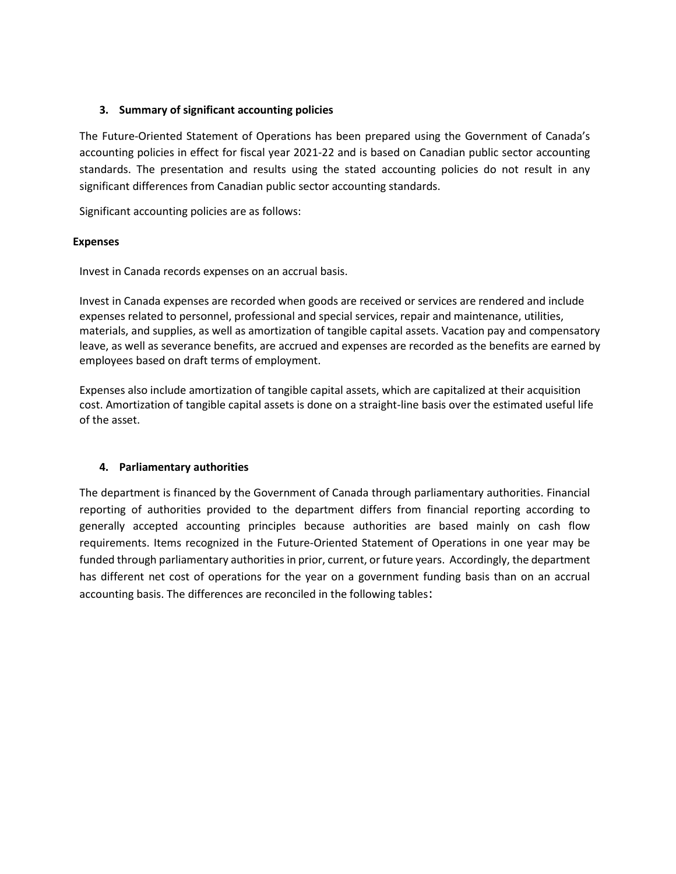## **3. Summary of significant accounting policies**

The Future-Oriented Statement of Operations has been prepared using the Government of Canada's accounting policies in effect for fiscal year 2021-22 and is based on Canadian public sector accounting standards. The presentation and results using the stated accounting policies do not result in any significant differences from Canadian public sector accounting standards.

Significant accounting policies are as follows:

## **Expenses**

Invest in Canada records expenses on an accrual basis.

Invest in Canada expenses are recorded when goods are received or services are rendered and include expenses related to personnel, professional and special services, repair and maintenance, utilities, materials, and supplies, as well as amortization of tangible capital assets. Vacation pay and compensatory leave, as well as severance benefits, are accrued and expenses are recorded as the benefits are earned by employees based on draft terms of employment.

Expenses also include amortization of tangible capital assets, which are capitalized at their acquisition cost. Amortization of tangible capital assets is done on a straight-line basis over the estimated useful life of the asset.

# **4. Parliamentary authorities**

The department is financed by the Government of Canada through parliamentary authorities. Financial reporting of authorities provided to the department differs from financial reporting according to generally accepted accounting principles because authorities are based mainly on cash flow requirements. Items recognized in the Future-Oriented Statement of Operations in one year may be funded through parliamentary authorities in prior, current, or future years. Accordingly, the department has different net cost of operations for the year on a government funding basis than on an accrual accounting basis. The differences are reconciled in the following tables: